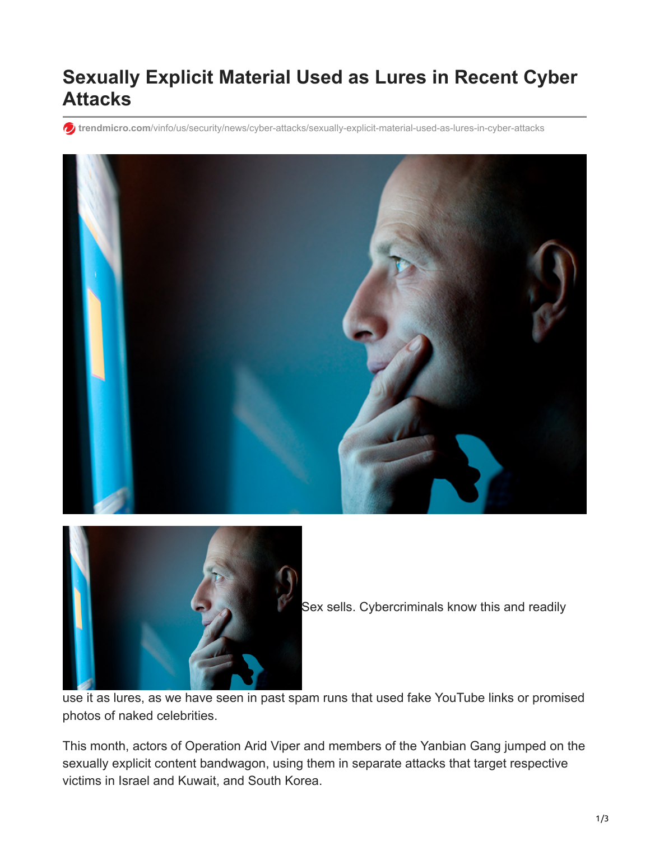# **Sexually Explicit Material Used as Lures in Recent Cyber Attacks**

**trendmicro.com**[/vinfo/us/security/news/cyber-attacks/sexually-explicit-material-used-as-lures-in-cyber-attacks](https://www.trendmicro.com/vinfo/us/security/news/cyber-attacks/sexually-explicit-material-used-as-lures-in-cyber-attacks?linkId=12425812)





Sex sells. Cybercriminals know this and readily

use it as lures, as we have seen in past spam runs that used fake YouTube links or promised photos of naked celebrities.

This month, actors of Operation Arid Viper and members of the Yanbian Gang jumped on the sexually explicit content bandwagon, using them in separate attacks that target respective victims in Israel and Kuwait, and South Korea.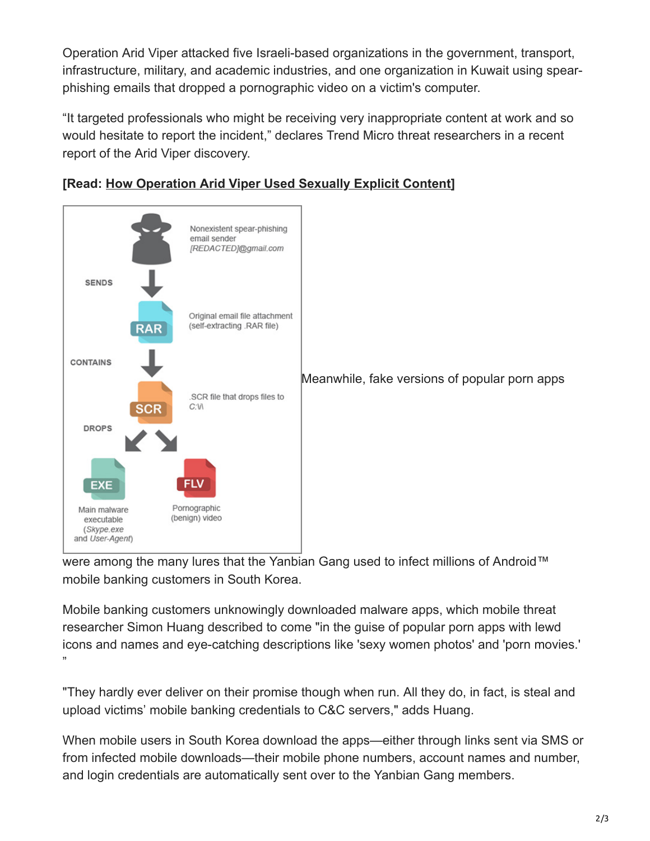Operation Arid Viper attacked five Israeli-based organizations in the government, transport, infrastructure, military, and academic industries, and one organization in Kuwait using spearphishing emails that dropped a pornographic video on a victim's computer.

"It targeted professionals who might be receiving very inappropriate content at work and so would hesitate to report the incident," declares Trend Micro threat researchers in a recent report of the Arid Viper discovery.





were among the many lures that the Yanbian Gang used to infect millions of Android™ mobile banking customers in South Korea.

Mobile banking customers unknowingly downloaded malware apps, which mobile threat researcher Simon Huang described to come "in the guise of popular porn apps with lewd icons and names and eye-catching descriptions like 'sexy women photos' and 'porn movies.' "

"They hardly ever deliver on their promise though when run. All they do, in fact, is steal and upload victims' mobile banking credentials to C&C servers," adds Huang.

When mobile users in South Korea download the apps—either through links sent via SMS or from infected mobile downloads—their mobile phone numbers, account names and number, and login credentials are automatically sent over to the Yanbian Gang members.